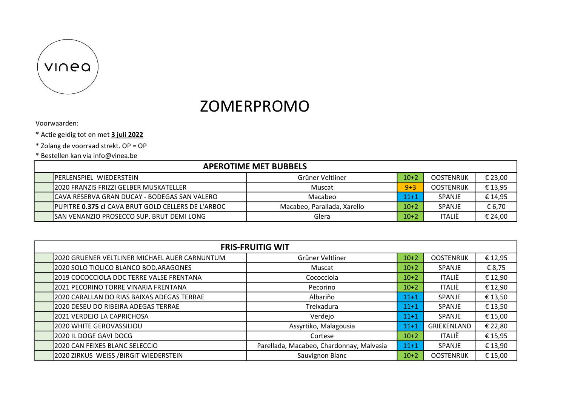

## ZOMERPROMO

Voorwaarden:

- \* Actie geldig tot en met 3 juli 2022
- \* Zolang de voorraad strekt. OP = OP
- \* Bestellen kan via info@vinea.be

| <b>APEROTIME MET BUBBELS</b>                       |                             |          |                   |         |  |  |
|----------------------------------------------------|-----------------------------|----------|-------------------|---------|--|--|
| <b>IPERLENSPIEL WIEDERSTEIN</b>                    | Grüner Veltliner            | $10+2$   | <b>OOSTENRIJK</b> | € 23,00 |  |  |
| 12020 FRANZIS FRIZZI GELBER MUSKATELLER            | Muscat                      | $9 + 3$  | <b>OOSTENRIJK</b> | € 13,95 |  |  |
| ICAVA RESERVA GRAN DUCAY - BODEGAS SAN VALERO      | Macabeo                     | $11 + 1$ | <b>SPANJE</b>     | € 14,95 |  |  |
| PUPITRE 0.375 cl CAVA BRUT GOLD CELLERS DE L'ARBOC | Macabeo, Parallada, Xarello | $10+2$   | <b>SPANJE</b>     | € 6,70  |  |  |
| ISAN VENANZIO PROSECCO SUP. BRUT DEMI LONG         | Glera                       | $10+2$   | <b>ITALIË</b>     | € 24,00 |  |  |

| <b>FRIS-FRUITIG WIT</b>                       |                                          |          |                   |         |  |  |
|-----------------------------------------------|------------------------------------------|----------|-------------------|---------|--|--|
| 2020 GRUENER VELTLINER MICHAEL AUER CARNUNTUM | Grüner Veltliner                         | $10+2$   | <b>OOSTENRIJK</b> | € 12,95 |  |  |
| 2020 SOLO TIOLICO BLANCO BOD.ARAGONES         | Muscat                                   | $10+2$   | SPANJE            | € 8,75  |  |  |
| 2019 COCOCCIOLA DOC TERRE VALSE FRENTANA      | Cococciola                               | $10+2$   | <b>ITALIË</b>     | € 12,90 |  |  |
| 2021 PECORINO TORRE VINARIA FRENTANA          | Pecorino                                 | $10+2$   | <b>ITALIË</b>     | € 12,90 |  |  |
| 2020 CARALLAN DO RIAS BAIXAS ADEGAS TERRAE    | Albariño                                 | $11+1$   | SPANJE            | € 13,50 |  |  |
| 2020 DESEU DO RIBEIRA ADEGAS TERRAE           | Treixadura                               | $11+1$   | SPANJE            | € 13,50 |  |  |
| 2021 VERDEJO LA CAPRICHOSA                    | Verdejo                                  | $11 + 1$ | SPANJE            | € 15,00 |  |  |
| 2020 WHITE GEROVASSILIOU                      | Assyrtiko, Malagousia                    | $11 + 1$ | GRIEKENLAND       | € 22,80 |  |  |
| 2020 IL DOGE GAVI DOCG                        | Cortese                                  | $10+2$   | <b>ITALIË</b>     | € 15,95 |  |  |
| 2020 CAN FEIXES BLANC SELECCIO                | Parellada, Macabeo, Chardonnay, Malvasia | $11+1$   | SPANJE            | € 13,90 |  |  |
| 2020 ZIRKUS WEISS / BIRGIT WIEDERSTEIN        | Sauvignon Blanc                          | $10+2$   | <b>OOSTENRIJK</b> | € 15,00 |  |  |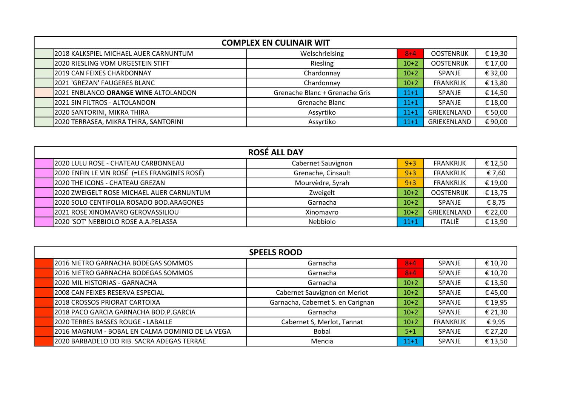| <b>COMPLEX EN CULINAIR WIT</b> |                                       |                                |         |                   |         |  |
|--------------------------------|---------------------------------------|--------------------------------|---------|-------------------|---------|--|
|                                | 2018 KALKSPIEL MICHAEL AUER CARNUNTUM | Welschrielsing                 | $8 + 4$ | <b>OOSTENRIJK</b> | € 19,30 |  |
|                                | 2020 RIESLING VOM URGESTEIN STIFT     | Riesling                       | $10+2$  | <b>OOSTENRIJK</b> | € 17,00 |  |
|                                | 2019 CAN FEIXES CHARDONNAY            | Chardonnay                     | $10+2$  | <b>SPANJE</b>     | € 32,00 |  |
|                                | 2021 'GREZAN' FAUGERES BLANC          | Chardonnay                     | $10+2$  | <b>FRANKRIJK</b>  | € 13,80 |  |
|                                | 2021 ENBLANCO ORANGE WINE ALTOLANDON  | Grenache Blanc + Grenache Gris | $11+1$  | <b>SPANJE</b>     | € 14,50 |  |
|                                | 2021 SIN FILTROS - ALTOLANDON         | Grenache Blanc                 | $11+1$  | SPANJE            | € 18,00 |  |
|                                | 2020 SANTORINI, MIKRA THIRA           | Assyrtiko                      | $11+1$  | GRIEKENLAND       | € 50,00 |  |
|                                | 2020 TERRASEA, MIKRA THIRA, SANTORINI | Assyrtiko                      | $11+1$  | GRIEKENLAND       | €90,00  |  |

| <b>ROSÉ ALL DAY</b> |                                              |                    |         |                   |         |  |
|---------------------|----------------------------------------------|--------------------|---------|-------------------|---------|--|
|                     | 2020 LULU ROSE - CHATEAU CARBONNEAU          | Cabernet Sauvignon | $9 + 3$ | <b>FRANKRIJK</b>  | € 12,50 |  |
|                     | 2020 ENFIN LE VIN ROSÉ (=LES FRANGINES ROSÉ) | Grenache, Cinsault | $9 + 3$ | <b>FRANKRIJK</b>  | € 7,60  |  |
|                     | 2020 THE ICONS - CHATEAU GREZAN              | Mourvèdre, Syrah   | $9 + 3$ | <b>FRANKRIJK</b>  | € 19,00 |  |
|                     | 2020 ZWEIGELT ROSE MICHAEL AUER CARNUNTUM    | Zweigelt           | $10+2$  | <b>OOSTENRIJK</b> | € 13,75 |  |
|                     | 2020 SOLO CENTIFOLIA ROSADO BOD.ARAGONES     | Garnacha           | $10+2$  | SPANJE            | € 8,75  |  |
|                     | 2021 ROSE XINOMAVRO GEROVASSILIOU            | Xinomavro          | $10+2$  | GRIEKENLAND       | € 22,00 |  |
|                     | 12020 'SOT' NEBBIOLO ROSE A.A.PELASSA        | Nebbiolo           | $11+1$  | <b>ITALIË</b>     | € 13,90 |  |

| <b>SPEELS ROOD</b> |                                                 |                                   |          |                  |         |  |
|--------------------|-------------------------------------------------|-----------------------------------|----------|------------------|---------|--|
|                    | 2016 NIETRO GARNACHA BODEGAS SOMMOS             | Garnacha                          | $8 + 4$  | SPANJE           | € 10,70 |  |
|                    | 2016 NIETRO GARNACHA BODEGAS SOMMOS             | Garnacha                          | $8 + 4$  | <b>SPANJE</b>    | € 10,70 |  |
|                    | 2020 MIL HISTORIAS - GARNACHA                   | Garnacha                          | $10+2$   | <b>SPANJE</b>    | € 13,50 |  |
|                    | 2008 CAN FEIXES RESERVA ESPECIAL                | Cabernet Sauvignon en Merlot      | $10+2$   | <b>SPANJE</b>    | €45,00  |  |
|                    | <b>2018 CROSSOS PRIORAT CARTOIXA</b>            | Garnacha, Cabernet S. en Carignan | $10+2$   | <b>SPANJE</b>    | € 19,95 |  |
|                    | 2018 PACO GARCIA GARNACHA BOD.P.GARCIA          | Garnacha                          | $10+2$   | <b>SPANJE</b>    | € 21,30 |  |
|                    | 2020 TERRES BASSES ROUGE - LABALLE              | Cabernet S, Merlot, Tannat        | $10+2$   | <b>FRANKRIJK</b> | €9,95   |  |
|                    | 2016 MAGNUM - BOBAL EN CALMA DOMINIO DE LA VEGA | <b>Bobal</b>                      | $5 + 1$  | SPANJE           | € 27,20 |  |
|                    | 2020 BARBADELO DO RIB. SACRA ADEGAS TERRAE      | Mencia                            | $11 + 1$ | SPANJE           | € 13,50 |  |